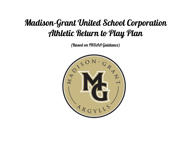## Madison-Grant United School Corporation Athletic Return to Play Plan

(Based on IHSAA Guidance)

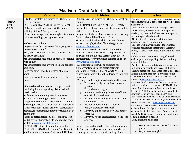## **Madison-Grant Athletic Return to Play Plan**

|                | <b>Parents</b>                                                                                      | <b>Athletes</b>                                               | <b>Coaches</b>                                                                       |
|----------------|-----------------------------------------------------------------------------------------------------|---------------------------------------------------------------|--------------------------------------------------------------------------------------|
|                | -Student-athletes are limited to 15 hours per                                                       | -Students will be limited to 15 hours per week on             | - No sport may have more than two activity days                                      |
| <b>Phase I</b> | week on campus.                                                                                     | campus.                                                       | per calendar week, 6 hours max per week, 3 hours                                     |
| July 6-        | ALL SUMMER ACTIVITIES ARE VOLUNTARY                                                                 | -ALL SUMMER ACTIVITIES ARE VOLUNTARY                          | max per day.                                                                         |
| July 19        | -All athletes will enter and exit the school                                                        | -All athletes will enter and exit the school building $\vert$ | -Conditioning is permitted 4 days per week                                           |
|                | building at door 8 (weight room).                                                                   | at door 8 (weight room).                                      | -Cross County may condition 4 x's per week.                                          |
|                | Please encourage your son/daughter to screen                                                        | -Any student who prefers to wear a face covering              | -Activity days are limited to three hours per day.<br>(Six hours per calendar week). |
|                | prior to attending open gym sessions.                                                               | for activities will be allowed to do so.                      | -All athletes will enter and exit the school                                         |
|                |                                                                                                     | -Prior to participation, all first-time athletes              | building at door 8 (weight room).                                                    |
|                | -Self-screen includes:                                                                              | MUST have a physical on file and register at                  | -Coaches are highly encouraged to wear face                                          |
|                | Do you currently have a fever? 100.4 or greater                                                     | www.mgathletics.com                                           | coverings at all times except under vigorous                                         |
|                | Do you have a cough?                                                                                | -RETURNING students should provide the                        | activity. Masks are available in the training room                                   |
|                | Are you experiencing shortness of breath or                                                         | 2020-2021 IHSAA Health Update Questionnaire                   | facility.                                                                            |
|                | difficulty breathing?                                                                               | and Consent and Release Certificate PRIOR to                  | -Vulnerable coaches are encouraged to seek                                           |
|                | Are you experiencing chills or repeated shaking                                                     | participation. They must also register online at              | medical guidance regarding his/her coaching                                          |
|                | with chills?                                                                                        | www.mgathletics.com                                           | responsibilities.                                                                    |
|                | Are you experiencing any muscle pain,headache, -All student athletes will be screened for           |                                                               | -An alternate command structure for coaching                                         |
|                | sore throat?                                                                                        | signs/symptoms prior to participating in                      | staff should be established in case of illness.                                      |
|                | Have you experienced a new loss of taste or                                                         | workouts. Any athlete that shows COVID-19                     | -Prior to participation, coaches should check that                                   |
|                | smell?                                                                                              | related symptoms will not be allowed to take part             | all first-time athletes have a physical on file.                                     |
|                | Have you noticed skin lesions on the feet and                                                       | in workouts.                                                  | Coaches should direct parents to register their<br>athletes at www.mgathletics.com.  |
|                | toes?                                                                                               | -The signs and symptoms related questions are:                | -Coaches should make sure that RETURNING                                             |
|                |                                                                                                     | 1. Do you currently have a fever? 100.4 or                    | students provide the 2020-2021 IHSAA Health                                          |
|                | -Vulnerable athletes are encouraged to seek                                                         | greater                                                       | Update Questionnaire and Consent and Release                                         |
|                | medical guidance regarding his/her athletic                                                         | 2. Do you have a cough?                                       | Certificate PRIOR to participation. If a student                                     |
|                | participation.                                                                                      | Are you experiencing shortness of breath<br>3.                | answers YES on any question, a NEW and                                               |
|                | -Athletes, when not engaged in vigorous                                                             | or difficulty breathing?                                      | UPDATED PHYSICAL MUST BE OBTAINED PRIOR                                              |
|                | activity, are encouraged to wear a mask                                                             | Are you experiencing chills or repeated<br>4.                 | TO PARTICIPATION. In addition, all athletes must                                     |
|                | (supplied by students). Coaches will be highly                                                      | shaking with chills?                                          | also register online at www.mgathletics.com                                          |
|                | encouraged to wear a mask, but not mandatory.                                                       | 5. Are you experiencing any muscle                            | -Coaches, or designated staff, will screen all of                                    |
|                | Only essential student-athletes, participants,                                                      | pain, headache, sore throat?                                  | his/her athletes for signs/symptoms prior to                                         |
|                | coaches, medical staff, supervisors should be in<br>attendance.                                     | 6. Have you experienced a new loss of taste<br>or smell?      | participating in daily workouts. Coaches must                                        |
|                |                                                                                                     | Have you noticed skin lesions on the feet                     | track COVID-19 impacted attendance and report<br>to administration if needed.        |
|                | -Prior to participation, all first-time athletes<br>MUST have a physical on file and register their | and toes?                                                     | -Daily questions asked are:                                                          |
|                | athlete at www.mgathletics.com                                                                      |                                                               |                                                                                      |
|                | -RETURNING students should provide the                                                              | -Athletes should wash their hands for a minimum               | Do you currently have a fever? 100.4 or<br>1.                                        |
|                | 2020-2021 IHSAA Health Update Questionnaire                                                         | of 20 seconds with warm water and soap before                 | greater                                                                              |
|                | and Consent and Release Certificate PRIOR to                                                        | touching any surfaces or participating. If not                | 2. Do you have a cough?                                                              |
|                |                                                                                                     |                                                               |                                                                                      |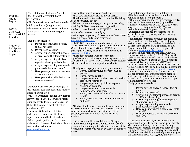| -All athletes will enter and exit the school<br><b>Phase II</b><br>-ALL SUMMER ACTIVITIES ARE VOLUNTARY<br>-ALL SUMMER ACTIVITIES ARE<br>building at door 8 (weight room).<br>-All athletes will enter and exit the school building<br>July 20-<br><b>VOLUNTARY</b><br>-Athletes, when not engaged in vigorous activity,<br>at door 8 (weight room).<br>Aug 14<br>-All athletes will enter and exit the school<br>are REQUIRED to wear a mask (supplied by<br>-Athletes, when not engaged in vigorous activity,<br>students). Coaches will be REQUIRED to wear a<br>building at door 8 (weight room).<br>are REQUIRED to wear a mask (supplied by |  |
|---------------------------------------------------------------------------------------------------------------------------------------------------------------------------------------------------------------------------------------------------------------------------------------------------------------------------------------------------------------------------------------------------------------------------------------------------------------------------------------------------------------------------------------------------------------------------------------------------------------------------------------------------|--|
|                                                                                                                                                                                                                                                                                                                                                                                                                                                                                                                                                                                                                                                   |  |
|                                                                                                                                                                                                                                                                                                                                                                                                                                                                                                                                                                                                                                                   |  |
|                                                                                                                                                                                                                                                                                                                                                                                                                                                                                                                                                                                                                                                   |  |
|                                                                                                                                                                                                                                                                                                                                                                                                                                                                                                                                                                                                                                                   |  |
| mask (effective Monday, July 27. Masks are                                                                                                                                                                                                                                                                                                                                                                                                                                                                                                                                                                                                        |  |
| -Please encourage your son/daughter to<br><b>July 31:</b><br>students). Coaches will be REQUIRED to wear a<br>available in the training room facility.                                                                                                                                                                                                                                                                                                                                                                                                                                                                                            |  |
| screen prior to attending open gym<br>Girls Golf<br>-Vulnerable coaches are encouraged to seek<br>mask (effective Monday, July 27.                                                                                                                                                                                                                                                                                                                                                                                                                                                                                                                |  |
| medical guidance regarding his/her coaching<br><b>Starts Official</b><br>sessions.<br>Prior to participation, all first-time athletes MUST                                                                                                                                                                                                                                                                                                                                                                                                                                                                                                        |  |
| responsibilities.<br>Practice<br>have a physical on file and register at<br>-An alternate command structure for coaching                                                                                                                                                                                                                                                                                                                                                                                                                                                                                                                          |  |
| www.mgathletics.com<br>-Self-screen includes:<br>staff should be established in case of illness.                                                                                                                                                                                                                                                                                                                                                                                                                                                                                                                                                  |  |
| -RETURNING students should provide the<br>-Prior to participation, coaches should check that<br>1. Do you currently have a fever?                                                                                                                                                                                                                                                                                                                                                                                                                                                                                                                 |  |
| August 3:<br>2020-2021 IHSAA Health Update Questionnaire and<br>all first-time athletes have a physical on file.<br>100.4 or greater                                                                                                                                                                                                                                                                                                                                                                                                                                                                                                              |  |
| Consent and Release Certificate PRIOR to<br>Coaches should direct parents to register their<br><b>Fall Sports</b>                                                                                                                                                                                                                                                                                                                                                                                                                                                                                                                                 |  |
| Do you have a cough?<br>2.<br>athletes at www.mgathletics.com.<br>participation. They must also register online at<br>Practices                                                                                                                                                                                                                                                                                                                                                                                                                                                                                                                   |  |
| -Coaches should make sure that RETURNING<br>Are you experiencing shortness<br>www.mgathletics.com<br>3.<br><b>Begin</b><br>students provide the 2020-2021 IHSAA Health                                                                                                                                                                                                                                                                                                                                                                                                                                                                            |  |
| -All student athletes will be screened for<br>of breath or difficulty breathing?<br><b>Update Questionnaire and Consent and Release</b>                                                                                                                                                                                                                                                                                                                                                                                                                                                                                                           |  |
| signs/symptoms prior to participating in workouts.<br>4. Are you experiencing chills or<br>Certificate PRIOR to participation. If a student                                                                                                                                                                                                                                                                                                                                                                                                                                                                                                       |  |
| Any athlete that shows COVID-19 related symptoms<br>repeated shaking with chills?<br>answers YES on any question, a NEW and<br>will not be allowed to take part in workouts.                                                                                                                                                                                                                                                                                                                                                                                                                                                                      |  |
| UPDATED PHYSICÁL MUST BE OBTAINED PRIOR<br>5. Are you experiencing any muscle                                                                                                                                                                                                                                                                                                                                                                                                                                                                                                                                                                     |  |
| TO PARTICIPATION. In addition, all athletes must<br>pain, headache, sore throat?<br>-The signs and symptoms related questions are:                                                                                                                                                                                                                                                                                                                                                                                                                                                                                                                |  |
| also register online at www.mgathletics.com<br>1. Do you currently have a fever? 100.4 or<br>6. Have you experienced a new loss<br>-Coaches, or designated staff, will screen all of                                                                                                                                                                                                                                                                                                                                                                                                                                                              |  |
| greater<br>his/her athletes for signs/symptoms prior to<br>of taste or smell?                                                                                                                                                                                                                                                                                                                                                                                                                                                                                                                                                                     |  |
| 2. Do you have a cough?<br>participating in daily workouts. Coaches must                                                                                                                                                                                                                                                                                                                                                                                                                                                                                                                                                                          |  |
| Have you noticed skin lesions on<br>7.<br>Are you experiencing shortness of breath or<br>track COVID-19 impacted attendance and report                                                                                                                                                                                                                                                                                                                                                                                                                                                                                                            |  |
| the feet and toes?<br>difficulty breathing?<br>to administration if needed.                                                                                                                                                                                                                                                                                                                                                                                                                                                                                                                                                                       |  |
| -Daily questions asked are:<br>Are you experiencing chills or repeated<br>4.                                                                                                                                                                                                                                                                                                                                                                                                                                                                                                                                                                      |  |
| shaking with chills?<br>-Vulnerable athletes are encouraged to<br>Do you currently have a fever? 100.4 or<br>1.                                                                                                                                                                                                                                                                                                                                                                                                                                                                                                                                   |  |
| Are you experiencing any muscle<br>seek medical guidance regarding his/her<br>greater<br>pain, headache, sore throat?                                                                                                                                                                                                                                                                                                                                                                                                                                                                                                                             |  |
| Do you have a cough?<br>athletic participation.<br>2.                                                                                                                                                                                                                                                                                                                                                                                                                                                                                                                                                                                             |  |
| 6. Have you experienced a new loss of taste or<br>smell?<br>Are you experiencing shortness of breath<br>3.<br>-Athletes, when not engaged in vigorous                                                                                                                                                                                                                                                                                                                                                                                                                                                                                             |  |
| or difficulty breathing?<br>7. Have you noticed skin lesions on the feet<br>activity, are REQUIRED to wear a mask                                                                                                                                                                                                                                                                                                                                                                                                                                                                                                                                 |  |
| Are you experiencing chills or repeated<br>4.<br>and toes?<br>(supplied by students). Coaches will be<br>shaking with chills?                                                                                                                                                                                                                                                                                                                                                                                                                                                                                                                     |  |
| Are you experiencing any muscle<br>5.<br>REQUIRED to wear a mask (effective                                                                                                                                                                                                                                                                                                                                                                                                                                                                                                                                                                       |  |
| -Athletes should wash their hands for a minimum<br>pain, headache, sore throat?                                                                                                                                                                                                                                                                                                                                                                                                                                                                                                                                                                   |  |
| Monday, July 27.<br>of 20 seconds with warm water and soap before<br>6. Have you experienced a new loss of taste                                                                                                                                                                                                                                                                                                                                                                                                                                                                                                                                  |  |
| -Only essential student-athletes,<br>touching any surfaces or participating. If not<br>or smell?                                                                                                                                                                                                                                                                                                                                                                                                                                                                                                                                                  |  |
| possible, hand sanitizer will be plentiful and<br>7. Have you noticed skin lesions on the feet<br>participants, coaches, medical staff,<br>and toes?<br>available.                                                                                                                                                                                                                                                                                                                                                                                                                                                                                |  |
| supervisors should be in attendance.                                                                                                                                                                                                                                                                                                                                                                                                                                                                                                                                                                                                              |  |
| -Prior to participation, all first-time<br>-If an athlete answers "yes" to any of these<br>-Locker rooms will be available at 50% capacity                                                                                                                                                                                                                                                                                                                                                                                                                                                                                                        |  |
| questions, they are to be sent home immediately<br>athletes MUST have a physical on file and Students should report to their activity in proper                                                                                                                                                                                                                                                                                                                                                                                                                                                                                                   |  |
| with parent follow up the next day. During<br>gear and immediately return home to shower at the<br>register their athlete at                                                                                                                                                                                                                                                                                                                                                                                                                                                                                                                      |  |
| participation, coaches and athletic personnel are<br>conclusion. Restrooms will be available in common<br>www.mgathletics.com<br>required to observational screen athletes as well.                                                                                                                                                                                                                                                                                                                                                                                                                                                               |  |
| areas.<br>-If athletes are visibly and actively showing signs                                                                                                                                                                                                                                                                                                                                                                                                                                                                                                                                                                                     |  |
| and symptoms of COVID-19, they are to be                                                                                                                                                                                                                                                                                                                                                                                                                                                                                                                                                                                                          |  |
|                                                                                                                                                                                                                                                                                                                                                                                                                                                                                                                                                                                                                                                   |  |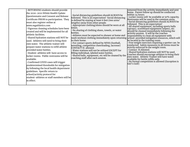| www.mgathletics.com<br>athletic facilities.<br>provided water bottles.<br>lavailable.<br>predetermined thresholds for mitigation<br>by following the local health department<br>guidelines. Specific return to | -RETURNING students should provide<br>the 2020-2021 IHSAA Health Update<br>Questionnaire and Consent and Release<br>Certificate PRIOR to participation. They<br>must also register online at<br>-Vigorous cleaning schedules have been<br>created and will be implemented for all<br>-Shared hydration stations will NOT be<br>used. Athletes will need to bring their<br>own water. The athletic trainer will<br>prepare water stations to refill athlete<br>-Student-athletes will have access to<br>locker rooms. Public restrooms will be<br>-Confirmed COVID cases will trigger | -Social distancing guidelines should ALWAYS be<br>followed. This is an expectation! Social distancing<br>is defined by staying at least 6 feet (two arms'<br>lengths) away from other people.<br>-Appropriate clothing/shoes should be worn at all<br>times.<br>-No sharing of clothing shoes, towels, or water<br>bottles.<br>-Athletes must be expected to shower at home and<br>wash workout clothing immediately upon returning school-provided mitigation resources, which will<br>to their home.<br>-For contact sports defined by NFHS (football,<br>wrestling, competitive cheerleading, lacrosse)<br>CONTACT IS allowed.<br>-Water stations will not be utilized EXCEPT for<br>filling individual, labeled water bottles.<br>Shared balls, equipment, etc will be cleaned by the<br>coaching staff after each session. | removed from the activity immediately and sent<br>home. Parent follow up should be conducted<br>within 24 hours.<br>Locker rooms will be available at 50% capacity.<br>Restrooms will be used in the common areas.<br>Social distancing guidelines should ALWAYS be<br>followed. This is an expectation!<br>-All shared equipment, including sports balls<br>(sprays), scoreboard equipment (wipes), etc.<br>should be cleaned immediately following the<br>activity session. It will be the coaches<br>responsibility to clean all equipment with<br>be located in the training room.<br>Free weight exercises requiring a spotter can be<br>conducted. Safety measures in all forms must be<br>strictly enforced in the weight room.<br>Contact IS Allowed.<br>Shared hydration stations will NOT be used.<br>Coaches should encourage athletes to bring their<br>own water. Athletic Trainer will have water<br>available for bottle refills only.<br>-No formal competition is allowed (Exception is<br> Girl's Golf) |
|----------------------------------------------------------------------------------------------------------------------------------------------------------------------------------------------------------------|--------------------------------------------------------------------------------------------------------------------------------------------------------------------------------------------------------------------------------------------------------------------------------------------------------------------------------------------------------------------------------------------------------------------------------------------------------------------------------------------------------------------------------------------------------------------------------------|---------------------------------------------------------------------------------------------------------------------------------------------------------------------------------------------------------------------------------------------------------------------------------------------------------------------------------------------------------------------------------------------------------------------------------------------------------------------------------------------------------------------------------------------------------------------------------------------------------------------------------------------------------------------------------------------------------------------------------------------------------------------------------------------------------------------------------|---------------------------------------------------------------------------------------------------------------------------------------------------------------------------------------------------------------------------------------------------------------------------------------------------------------------------------------------------------------------------------------------------------------------------------------------------------------------------------------------------------------------------------------------------------------------------------------------------------------------------------------------------------------------------------------------------------------------------------------------------------------------------------------------------------------------------------------------------------------------------------------------------------------------------------------------------------------------------------------------------------------------------|
|----------------------------------------------------------------------------------------------------------------------------------------------------------------------------------------------------------------|--------------------------------------------------------------------------------------------------------------------------------------------------------------------------------------------------------------------------------------------------------------------------------------------------------------------------------------------------------------------------------------------------------------------------------------------------------------------------------------------------------------------------------------------------------------------------------------|---------------------------------------------------------------------------------------------------------------------------------------------------------------------------------------------------------------------------------------------------------------------------------------------------------------------------------------------------------------------------------------------------------------------------------------------------------------------------------------------------------------------------------------------------------------------------------------------------------------------------------------------------------------------------------------------------------------------------------------------------------------------------------------------------------------------------------|---------------------------------------------------------------------------------------------------------------------------------------------------------------------------------------------------------------------------------------------------------------------------------------------------------------------------------------------------------------------------------------------------------------------------------------------------------------------------------------------------------------------------------------------------------------------------------------------------------------------------------------------------------------------------------------------------------------------------------------------------------------------------------------------------------------------------------------------------------------------------------------------------------------------------------------------------------------------------------------------------------------------------|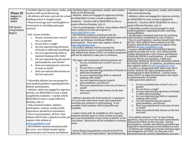|                    |                                              | -Facilities Open to spectators, media, and -Facilities Open to spectators, media, and vendors                                                     | -Facilities Open to spectators, media, and vendors                                                                                            |
|--------------------|----------------------------------------------|---------------------------------------------------------------------------------------------------------------------------------------------------|-----------------------------------------------------------------------------------------------------------------------------------------------|
| <b>Phase III</b>   | vendors with social distancing               | with social distancing                                                                                                                            | with social distancing                                                                                                                        |
| August 15-         | -All athletes will enter and exit the school | -Athletes, when not engaged in vigorous activity,                                                                                                 | -Athletes, when not engaged in vigorous activity,                                                                                             |
| further            | building at door 8 (weight room).            | are REQUIRED to wear a mask (supplied by                                                                                                          | are REQUIRED to wear a mask (supplied by                                                                                                      |
| notice             | -Please encourage your son/daughter to       | students). Coaches will be REQUIRED to wear a                                                                                                     | students). Coaches will be REQUIRED to wear a                                                                                                 |
|                    | screen prior to attending open gym           | mask (effective Monday, July 27.                                                                                                                  | mask (effective Monday, July 27.                                                                                                              |
| <b>Fall Sports</b> | sessions.                                    | Prior to participation, all first-time athletes MUST                                                                                              | -Vulnerable coaches are encouraged to seek                                                                                                    |
| Competition        |                                              | have a physical on file and register at                                                                                                           | medical guidance regarding his/her coaching                                                                                                   |
| <b>Begins</b>      | -Self-screen includes:                       | www.mgathletics.com<br>-RETURNING students should provide the                                                                                     | responsibilities.                                                                                                                             |
|                    | Do you currently have a fever?<br>1.         | 2020-2021 IHSAA Health Update Questionnaire and                                                                                                   | -An alternate command structure for coaching<br>staff should be established in case of illness.                                               |
|                    | 100.4 or greater                             | <b>Consent and Release Certificate PRIOR to</b>                                                                                                   | -Prior to participation, coaches should check that                                                                                            |
|                    | Do you have a cough?                         | participation. They must also register online at                                                                                                  | all first-time athletes have a physical on file.                                                                                              |
|                    | 2.                                           | www.mgathletics.com                                                                                                                               | Coaches should direct parents to register their                                                                                               |
|                    | Are you experiencing shortness<br>3.         | -All student athletes will be screened for                                                                                                        | athletes at www.mgathletics.com.<br>-Coaches should make sure that RETURNING                                                                  |
|                    | of breath or difficulty breathing?           | signs/symptoms prior to participating in workouts.<br>Any athlete that shows COVID-19 related symptoms                                            | students provide the 2020-2021 IHSAA Health                                                                                                   |
|                    | Are you experiencing chills or<br>4.         | will not be allowed to take part in workouts.                                                                                                     | Update Questionnaire and Consent and Release                                                                                                  |
|                    | repeated shaking with chills?                |                                                                                                                                                   | Certificate PRIOR to participation. If a student                                                                                              |
|                    | Are you experiencing any muscle<br>5.        | -The signs and symptoms related questions are:                                                                                                    | answers YES on any question, a NEW and<br> UPDATED PHYSICAL MUST BE OBTAINED PRIOR                                                            |
|                    | pain, headache, sore throat?                 | 1. Do you currently have a fever? 100.4 or                                                                                                        | TO PARTICIPATION. In addition, all athletes must                                                                                              |
|                    | 6. Have you experienced a new loss           | greater                                                                                                                                           | also register online at www.mgathletics.com                                                                                                   |
|                    | of taste or smell?                           | Do you have a cough?<br>2.                                                                                                                        | -Coaches, or designated staff, will screen all of<br>Are you experiencing shortness of breath or his/her athletes for signs/symptoms prior to |
|                    | Have you noticed skin lesions on             | difficulty breathing?                                                                                                                             | participating in daily workouts. Coaches must                                                                                                 |
|                    | the feet and toes?                           | 4. Are you experiencing chills or repeated                                                                                                        | track COVID-19 impacted attendance and report                                                                                                 |
|                    |                                              | shaking with chills?                                                                                                                              | to administration if needed.                                                                                                                  |
|                    | -Vulnerable athletes are encouraged to       | Are you experiencing any muscle                                                                                                                   | -Daily questions asked are:                                                                                                                   |
|                    | seek medical guidance regarding his/her      | pain, headache, sore throat?                                                                                                                      | Do you currently have a fever? 100.4 or<br>1.                                                                                                 |
|                    | athletic participation.                      | 6. Have you experienced a new loss of taste or<br>smell?                                                                                          | greater                                                                                                                                       |
|                    | -Athletes, when not engaged in vigorous      | 7. Have you noticed skin lesions on the feet                                                                                                      | Do you have a cough?<br>2.                                                                                                                    |
|                    | activity, are REQUIRED to wear a mask        | and toes?                                                                                                                                         | Are you experiencing shortness of breath<br>$\mathcal{R}$ .<br>or difficulty breathing?                                                       |
|                    | (supplied by students). Coaches will be      |                                                                                                                                                   | Are you experiencing chills or repeated<br>4.                                                                                                 |
|                    | REQUIRED to wear a mask (effective           | -Athletes should wash their hands for a minimum                                                                                                   | shaking with chills?                                                                                                                          |
|                    | Monday, July 27.                             | of 20 seconds with warm water and soap before                                                                                                     | Are you experiencing any muscle                                                                                                               |
|                    | -Only essential student-athletes,            | touching any surfaces or participating. If not<br>possible, hand sanitizer will be plentiful and                                                  | pain, headache, sore throat?<br>6. Have you experienced a new loss of taste                                                                   |
|                    | participants, coaches, medical staff,        | available.                                                                                                                                        | or smell?                                                                                                                                     |
|                    | supervisors should be in attendance.         |                                                                                                                                                   | Have you noticed skin lesions on the feet<br>7.                                                                                               |
|                    | -Prior to participation, all first-time      | Locker rooms will be available at 50% capacity                                                                                                    | and toes?                                                                                                                                     |
|                    |                                              | Students should report to their activity in proper<br>athletes MUST have a physical on file and gear and immediately return home to shower at the | -If an athlete answers "yes" to any of these                                                                                                  |
|                    | register their athlete at                    | conclusion. Restrooms will be available in common                                                                                                 | questions, they are to be sent home immediately                                                                                               |
|                    | www.mgathletics.com                          | areas.                                                                                                                                            | with parent follow up the next day. During                                                                                                    |
|                    | -RETURNING students should provide           |                                                                                                                                                   | participation, coaches and athletic personnel are<br>required to observational screen athletes as well.                                       |
|                    | the 2020-2021 IHSAA Health Update            |                                                                                                                                                   | -If athletes are visibly and actively showing signs                                                                                           |
|                    | Questionnaire and Consent and Release        | Social distancing guidelines should ALWAYS be                                                                                                     | and symptoms of COVID-19, they are to be                                                                                                      |
|                    |                                              | followed. This is an expectation! Social distancing                                                                                               | removed from the activity immediately and sent                                                                                                |